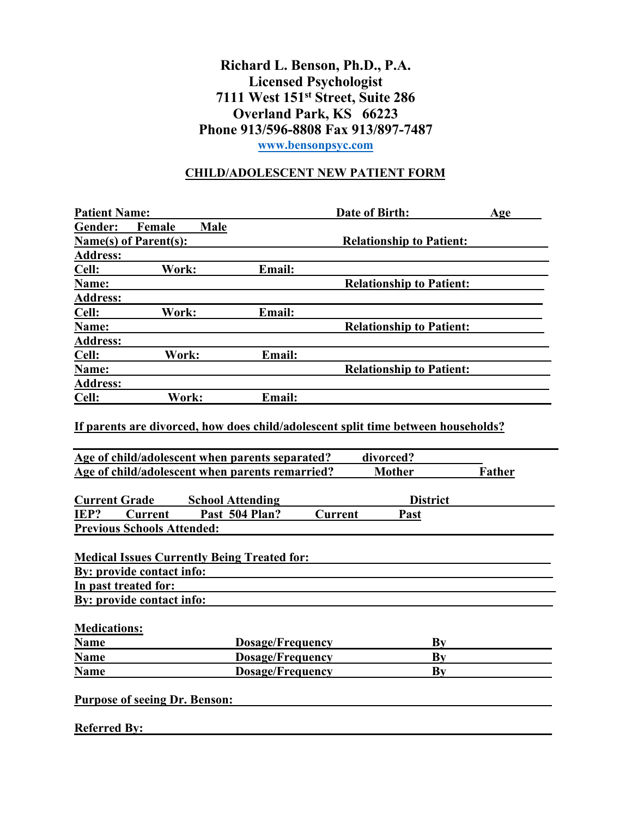## **Richard L. Benson, Ph.D., P.A. Licensed Psychologist 7111 West 151st Street, Suite 286 Overland Park, KS 66223 Phone 913/596-8808 Fax 913/897-7487 [www.bensonpsyc.com](http://www.bensonpsyc.com/)**

## **CHILD/ADOLESCENT NEW PATIENT FORM**

| <b>Patient Name:</b>                                                                                                         |                         |                                             | Date of Birth:                                                                                 | Age           |
|------------------------------------------------------------------------------------------------------------------------------|-------------------------|---------------------------------------------|------------------------------------------------------------------------------------------------|---------------|
| Gender:<br>Female                                                                                                            | Male                    |                                             |                                                                                                |               |
| Name(s) of Parent(s):                                                                                                        |                         |                                             | <b>Relationship to Patient:</b>                                                                |               |
| <b>Address:</b>                                                                                                              |                         |                                             |                                                                                                |               |
| Work:<br>Cell:                                                                                                               |                         | <b>Email:</b>                               |                                                                                                |               |
| Name:                                                                                                                        |                         |                                             | <b>Relationship to Patient:</b>                                                                |               |
| <b>Address:</b>                                                                                                              |                         |                                             |                                                                                                |               |
| Cell:<br>Work:                                                                                                               |                         | Email:                                      |                                                                                                |               |
| Name:                                                                                                                        |                         |                                             | <b>Relationship to Patient:</b>                                                                |               |
| <b>Address:</b>                                                                                                              |                         |                                             |                                                                                                |               |
| Cell:<br>Work:                                                                                                               |                         | Email:                                      |                                                                                                |               |
| Name:                                                                                                                        |                         |                                             | <b>Relationship to Patient:</b>                                                                |               |
| <b>Address:</b>                                                                                                              |                         |                                             |                                                                                                |               |
| Cell:                                                                                                                        | Work:                   | Email:                                      |                                                                                                |               |
| Age of child/adolescent when parents separated?                                                                              |                         |                                             | If parents are divorced, how does child/adolescent split time between households?<br>divorced? |               |
| Age of child/adolescent when parents remarried?                                                                              |                         |                                             | <b>Mother</b>                                                                                  | <b>Father</b> |
| <b>Current Grade</b>                                                                                                         | <b>School Attending</b> |                                             | <b>District</b>                                                                                |               |
| Current                                                                                                                      | Past 504 Plan?          |                                             | <b>Current</b><br>Past                                                                         |               |
|                                                                                                                              |                         |                                             |                                                                                                |               |
| IEP?<br><b>Previous Schools Attended:</b><br><b>Medical Issues Currently Being Treated for:</b><br>By: provide contact info: |                         |                                             |                                                                                                |               |
|                                                                                                                              |                         |                                             |                                                                                                |               |
|                                                                                                                              |                         |                                             |                                                                                                |               |
|                                                                                                                              |                         |                                             |                                                                                                |               |
| In past treated for:<br>By: provide contact info:<br><b>Medications:</b><br><b>Name</b>                                      |                         | <b>Dosage/Frequency</b>                     | By                                                                                             |               |
| <b>Name</b><br><b>Name</b>                                                                                                   |                         | <b>Dosage/Frequency</b><br>Dosage/Frequency | Bv<br>By                                                                                       |               |

**Referred By:**